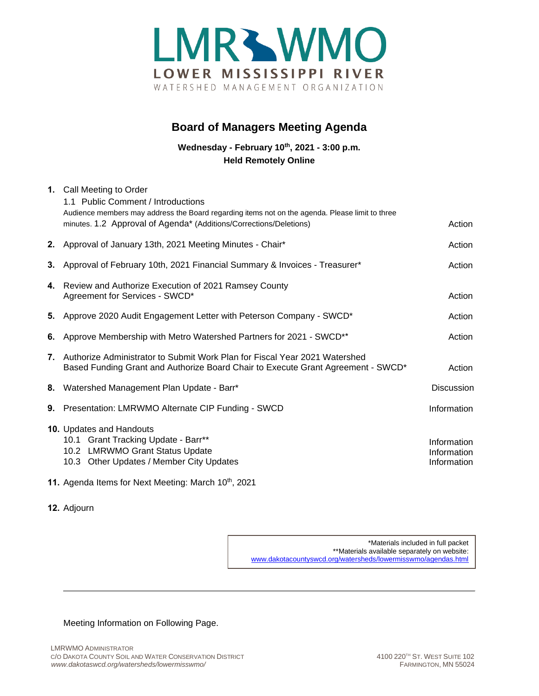

## **Board of Managers Meeting Agenda**

**Wednesday - February 10th, 2021 - 3:00 p.m. Held Remotely Online**

| 1. Call Meeting to Order<br>1.1 Public Comment / Introductions                                                                                                        |                                           |
|-----------------------------------------------------------------------------------------------------------------------------------------------------------------------|-------------------------------------------|
| Audience members may address the Board regarding items not on the agenda. Please limit to three<br>minutes. 1.2 Approval of Agenda* (Additions/Corrections/Deletions) | Action                                    |
| 2. Approval of January 13th, 2021 Meeting Minutes - Chair*                                                                                                            | Action                                    |
| 3. Approval of February 10th, 2021 Financial Summary & Invoices - Treasurer*                                                                                          | Action                                    |
| 4. Review and Authorize Execution of 2021 Ramsey County<br>Agreement for Services - SWCD*                                                                             | Action                                    |
| 5. Approve 2020 Audit Engagement Letter with Peterson Company - SWCD*                                                                                                 | Action                                    |
| 6. Approve Membership with Metro Watershed Partners for 2021 - SWCD**                                                                                                 | Action                                    |
| 7. Authorize Administrator to Submit Work Plan for Fiscal Year 2021 Watershed<br>Based Funding Grant and Authorize Board Chair to Execute Grant Agreement - SWCD*     | Action                                    |
| 8. Watershed Management Plan Update - Barr*                                                                                                                           | <b>Discussion</b>                         |
| 9. Presentation: LMRWMO Alternate CIP Funding - SWCD                                                                                                                  | Information                               |
| 10. Updates and Handouts<br>10.1 Grant Tracking Update - Barr**<br>10.2 LMRWMO Grant Status Update<br>10.3 Other Updates / Member City Updates                        | Information<br>Information<br>Information |

**11.** Agenda Items for Next Meeting: March 10<sup>th</sup>, 2021

## **12.** Adjourn

\*Materials included in full packet \*\*Materials available separately on website: [www.dakotacountyswcd.org/watersheds/lowermisswmo/agendas.html](http://www.dakotacountyswcd.org/watersheds/lowermisswmo/agendas.html)

Meeting Information on Following Page.